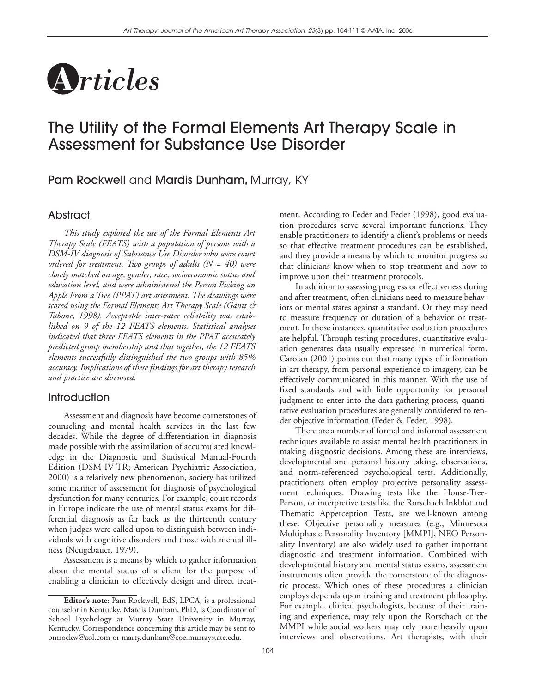

# The Utility of the Formal Elements Art Therapy Scale in Assessment for Substance Use Disorder

Pam Rockwell and Mardis Dunham, Murray, KY

# Abstract

*This study explored the use of the Formal Elements Art Therapy Scale (FEATS) with a population of persons with a DSM-IV diagnosis of Substance Use Disorder who were court ordered for treatment. Two groups of adults (N = 40) were closely matched on age, gender, race, socioeconomic status and education level, and were administered the Person Picking an Apple From a Tree (PPAT) art assessment. The drawings were scored using the Formal Elements Art Therapy Scale (Gantt & Tabone, 1998). Acceptable inter-rater reliability was established on 9 of the 12 FEATS elements. Statistical analyses indicated that three FEATS elements in the PPAT accurately predicted group membership and that together, the 12 FEATS elements successfully distinguished the two groups with 85% accuracy. Implications of these findings for art therapy research and practice are discussed.*

# **Introduction**

Assessment and diagnosis have become cornerstones of counseling and mental health services in the last few decades. While the degree of differentiation in diagnosis made possible with the assimilation of accumulated knowledge in the Diagnostic and Statistical Manual-Fourth Edition (DSM-IV-TR; American Psychiatric Association, 2000) is a relatively new phenomenon, society has utilized some manner of assessment for diagnosis of psychological dysfunction for many centuries. For example, court records in Europe indicate the use of mental status exams for differential diagnosis as far back as the thirteenth century when judges were called upon to distinguish between individuals with cognitive disorders and those with mental illness (Neugebauer, 1979).

Assessment is a means by which to gather information about the mental status of a client for the purpose of enabling a clinician to effectively design and direct treat-

ment. According to Feder and Feder (1998), good evaluation procedures serve several important functions. They enable practitioners to identify a client's problems or needs so that effective treatment procedures can be established, and they provide a means by which to monitor progress so that clinicians know when to stop treatment and how to improve upon their treatment protocols.

In addition to assessing progress or effectiveness during and after treatment, often clinicians need to measure behaviors or mental states against a standard. Or they may need to measure frequency or duration of a behavior or treatment. In those instances, quantitative evaluation procedures are helpful. Through testing procedures, quantitative evaluation generates data usually expressed in numerical form. Carolan (2001) points out that many types of information in art therapy, from personal experience to imagery, can be effectively communicated in this manner. With the use of fixed standards and with little opportunity for personal judgment to enter into the data-gathering process, quantitative evaluation procedures are generally considered to render objective information (Feder & Feder, 1998).

There are a number of formal and informal assessment techniques available to assist mental health practitioners in making diagnostic decisions. Among these are interviews, developmental and personal history taking, observations, and norm-referenced psychological tests. Additionally, practitioners often employ projective personality assessment techniques. Drawing tests like the House-Tree-Person, or interpretive tests like the Rorschach Inkblot and Thematic Apperception Tests, are well-known among these. Objective personality measures (e.g., Minnesota Multiphasic Personality Inventory [MMPI], NEO Personality Inventory) are also widely used to gather important diagnostic and treatment information. Combined with developmental history and mental status exams, assessment instruments often provide the cornerstone of the diagnostic process. Which ones of these procedures a clinician employs depends upon training and treatment philosophy. For example, clinical psychologists, because of their training and experience, may rely upon the Rorschach or the MMPI while social workers may rely more heavily upon interviews and observations. Art therapists, with their

**Editor's note:** Pam Rockwell, EdS, LPCA, is a professional counselor in Kentucky. Mardis Dunham, PhD, is Coordinator of School Psychology at Murray State University in Murray, Kentucky. Correspondence concerning this article may be sent to pmrockw@aol.com or marty.dunham@coe.murraystate.edu.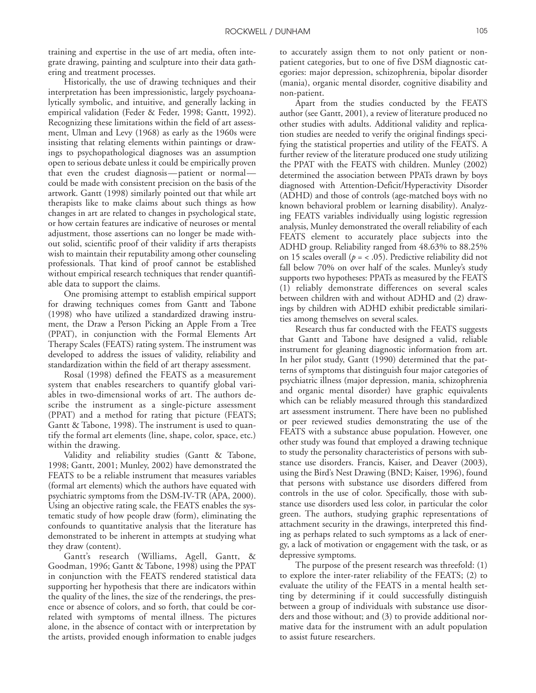training and expertise in the use of art media, often integrate drawing, painting and sculpture into their data gathering and treatment processes.

Historically, the use of drawing techniques and their interpretation has been impressionistic, largely psychoanalytically symbolic, and intuitive, and generally lacking in empirical validation (Feder & Feder, 1998; Gantt, 1992). Recognizing these limitations within the field of art assessment, Ulman and Levy (1968) as early as the 1960s were insisting that relating elements within paintings or drawings to psychopathological diagnoses was an assumption open to serious debate unless it could be empirically proven that even the crudest diagnosis—patient or normal could be made with consistent precision on the basis of the artwork. Gantt (1998) similarly pointed out that while art therapists like to make claims about such things as how changes in art are related to changes in psychological state, or how certain features are indicative of neuroses or mental adjustment, those assertions can no longer be made without solid, scientific proof of their validity if arts therapists wish to maintain their reputability among other counseling professionals. That kind of proof cannot be established without empirical research techniques that render quantifiable data to support the claims.

One promising attempt to establish empirical support for drawing techniques comes from Gantt and Tabone (1998) who have utilized a standardized drawing instrument, the Draw a Person Picking an Apple From a Tree (PPAT), in conjunction with the Formal Elements Art Therapy Scales (FEATS) rating system. The instrument was developed to address the issues of validity, reliability and standardization within the field of art therapy assessment.

Rosal (1998) defined the FEATS as a measurement system that enables researchers to quantify global variables in two-dimensional works of art. The authors describe the instrument as a single-picture assessment (PPAT) and a method for rating that picture (FEATS; Gantt & Tabone, 1998). The instrument is used to quantify the formal art elements (line, shape, color, space, etc.) within the drawing.

Validity and reliability studies (Gantt & Tabone, 1998; Gantt, 2001; Munley, 2002) have demonstrated the FEATS to be a reliable instrument that measures variables (formal art elements) which the authors have equated with psychiatric symptoms from the DSM-IV-TR (APA, 2000). Using an objective rating scale, the FEATS enables the systematic study of how people draw (form), eliminating the confounds to quantitative analysis that the literature has demonstrated to be inherent in attempts at studying what they draw (content).

Gantt's research (Williams, Agell, Gantt, & Goodman, 1996; Gantt & Tabone, 1998) using the PPAT in conjunction with the FEATS rendered statistical data supporting her hypothesis that there are indicators within the quality of the lines, the size of the renderings, the presence or absence of colors, and so forth, that could be correlated with symptoms of mental illness. The pictures alone, in the absence of contact with or interpretation by the artists, provided enough information to enable judges

to accurately assign them to not only patient or nonpatient categories, but to one of five DSM diagnostic categories: major depression, schizophrenia, bipolar disorder (mania), organic mental disorder, cognitive disability and non-patient.

Apart from the studies conducted by the FEATS author (see Gantt, 2001), a review of literature produced no other studies with adults. Additional validity and replication studies are needed to verify the original findings specifying the statistical properties and utility of the FEATS. A further review of the literature produced one study utilizing the PPAT with the FEATS with children. Munley (2002) determined the association between PPATs drawn by boys diagnosed with Attention-Deficit/Hyperactivity Disorder (ADHD) and those of controls (age-matched boys with no known behavioral problem or learning disability). Analyzing FEATS variables individually using logistic regression analysis, Munley demonstrated the overall reliability of each FEATS element to accurately place subjects into the ADHD group. Reliability ranged from 48.63% to 88.25% on 15 scales overall ( $p = < .05$ ). Predictive reliability did not fall below 70% on over half of the scales. Munley's study supports two hypotheses: PPATs as measured by the FEATS (1) reliably demonstrate differences on several scales between children with and without ADHD and (2) drawings by children with ADHD exhibit predictable similarities among themselves on several scales.

Research thus far conducted with the FEATS suggests that Gantt and Tabone have designed a valid, reliable instrument for gleaning diagnostic information from art. In her pilot study, Gantt (1990) determined that the patterns of symptoms that distinguish four major categories of psychiatric illness (major depression, mania, schizophrenia and organic mental disorder) have graphic equivalents which can be reliably measured through this standardized art assessment instrument. There have been no published or peer reviewed studies demonstrating the use of the FEATS with a substance abuse population. However, one other study was found that employed a drawing technique to study the personality characteristics of persons with substance use disorders. Francis, Kaiser, and Deaver (2003), using the Bird's Nest Drawing (BND; Kaiser, 1996), found that persons with substance use disorders differed from controls in the use of color. Specifically, those with substance use disorders used less color, in particular the color green. The authors, studying graphic representations of attachment security in the drawings, interpreted this finding as perhaps related to such symptoms as a lack of energy, a lack of motivation or engagement with the task, or as depressive symptoms.

The purpose of the present research was threefold: (1) to explore the inter-rater reliability of the FEATS; (2) to evaluate the utility of the FEATS in a mental health setting by determining if it could successfully distinguish between a group of individuals with substance use disorders and those without; and (3) to provide additional normative data for the instrument with an adult population to assist future researchers.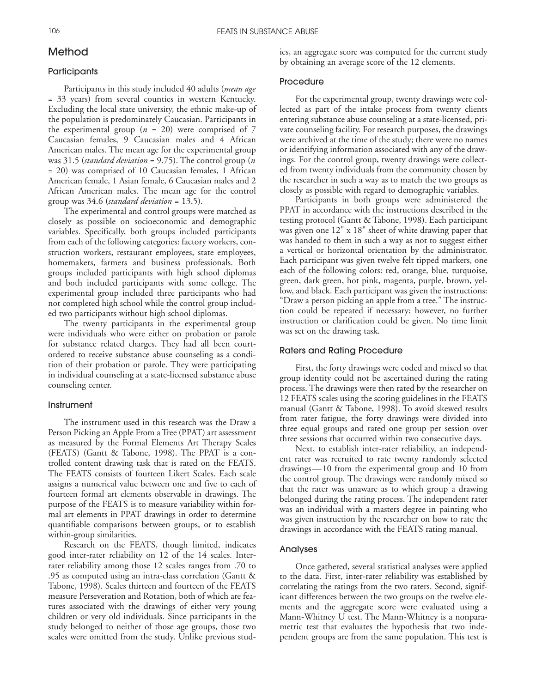# Method

#### **Participants**

Participants in this study included 40 adults (*mean age* = 33 years) from several counties in western Kentucky. Excluding the local state university, the ethnic make-up of the population is predominately Caucasian. Participants in the experimental group  $(n = 20)$  were comprised of 7 Caucasian females, 9 Caucasian males and 4 African American males. The mean age for the experimental group was 31.5 (*standard deviation* = 9.75). The control group (*n* = 20) was comprised of 10 Caucasian females, 1 African American female, 1 Asian female, 6 Caucasian males and 2 African American males. The mean age for the control group was 34.6 (*standard deviation* = 13.5).

The experimental and control groups were matched as closely as possible on socioeconomic and demographic variables. Specifically, both groups included participants from each of the following categories: factory workers, construction workers, restaurant employees, state employees, homemakers, farmers and business professionals. Both groups included participants with high school diplomas and both included participants with some college. The experimental group included three participants who had not completed high school while the control group included two participants without high school diplomas.

The twenty participants in the experimental group were individuals who were either on probation or parole for substance related charges. They had all been courtordered to receive substance abuse counseling as a condition of their probation or parole. They were participating in individual counseling at a state-licensed substance abuse counseling center.

#### Instrument

The instrument used in this research was the Draw a Person Picking an Apple From a Tree (PPAT) art assessment as measured by the Formal Elements Art Therapy Scales (FEATS) (Gantt & Tabone, 1998). The PPAT is a controlled content drawing task that is rated on the FEATS. The FEATS consists of fourteen Likert Scales. Each scale assigns a numerical value between one and five to each of fourteen formal art elements observable in drawings. The purpose of the FEATS is to measure variability within formal art elements in PPAT drawings in order to determine quantifiable comparisons between groups, or to establish within-group similarities.

Research on the FEATS, though limited, indicates good inter-rater reliability on 12 of the 14 scales. Interrater reliability among those 12 scales ranges from .70 to .95 as computed using an intra-class correlation (Gantt & Tabone, 1998). Scales thirteen and fourteen of the FEATS measure Perseveration and Rotation, both of which are features associated with the drawings of either very young children or very old individuals. Since participants in the study belonged to neither of those age groups, those two scales were omitted from the study. Unlike previous studies, an aggregate score was computed for the current study by obtaining an average score of the 12 elements.

#### Procedure

For the experimental group, twenty drawings were collected as part of the intake process from twenty clients entering substance abuse counseling at a state-licensed, private counseling facility. For research purposes, the drawings were archived at the time of the study; there were no names or identifying information associated with any of the drawings. For the control group, twenty drawings were collected from twenty individuals from the community chosen by the researcher in such a way as to match the two groups as closely as possible with regard to demographic variables.

Participants in both groups were administered the PPAT in accordance with the instructions described in the testing protocol (Gantt & Tabone, 1998). Each participant was given one 12" x 18" sheet of white drawing paper that was handed to them in such a way as not to suggest either a vertical or horizontal orientation by the administrator. Each participant was given twelve felt tipped markers, one each of the following colors: red, orange, blue, turquoise, green, dark green, hot pink, magenta, purple, brown, yellow, and black. Each participant was given the instructions: "Draw a person picking an apple from a tree." The instruction could be repeated if necessary; however, no further instruction or clarification could be given. No time limit was set on the drawing task.

#### Raters and Rating Procedure

First, the forty drawings were coded and mixed so that group identity could not be ascertained during the rating process. The drawings were then rated by the researcher on 12 FEATS scales using the scoring guidelines in the FEATS manual (Gantt & Tabone, 1998). To avoid skewed results from rater fatigue, the forty drawings were divided into three equal groups and rated one group per session over three sessions that occurred within two consecutive days.

Next, to establish inter-rater reliability, an independent rater was recruited to rate twenty randomly selected drawings—10 from the experimental group and 10 from the control group. The drawings were randomly mixed so that the rater was unaware as to which group a drawing belonged during the rating process. The independent rater was an individual with a masters degree in painting who was given instruction by the researcher on how to rate the drawings in accordance with the FEATS rating manual.

#### Analyses

Once gathered, several statistical analyses were applied to the data. First, inter-rater reliability was established by correlating the ratings from the two raters. Second, significant differences between the two groups on the twelve elements and the aggregate score were evaluated using a Mann-Whitney U test. The Mann-Whitney is a nonparametric test that evaluates the hypothesis that two independent groups are from the same population. This test is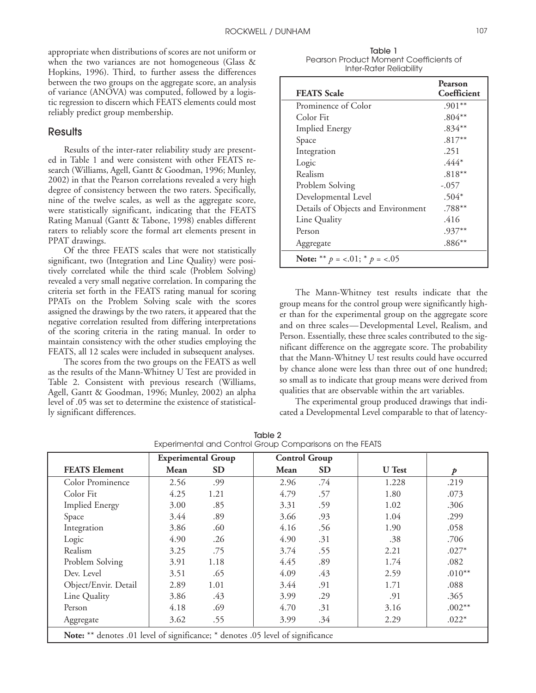appropriate when distributions of scores are not uniform or when the two variances are not homogeneous (Glass & Hopkins, 1996). Third, to further assess the differences between the two groups on the aggregate score, an analysis of variance (ANOVA) was computed, followed by a logistic regression to discern which FEATS elements could most reliably predict group membership.

#### **Results**

Results of the inter-rater reliability study are presented in Table 1 and were consistent with other FEATS research (Williams, Agell, Gantt & Goodman, 1996; Munley, 2002) in that the Pearson correlations revealed a very high degree of consistency between the two raters. Specifically, nine of the twelve scales, as well as the aggregate score, were statistically significant, indicating that the FEATS Rating Manual (Gantt & Tabone, 1998) enables different raters to reliably score the formal art elements present in PPAT drawings.

Of the three FEATS scales that were not statistically significant, two (Integration and Line Quality) were positively correlated while the third scale (Problem Solving) revealed a very small negative correlation. In comparing the criteria set forth in the FEATS rating manual for scoring PPATs on the Problem Solving scale with the scores assigned the drawings by the two raters, it appeared that the negative correlation resulted from differing interpretations of the scoring criteria in the rating manual. In order to maintain consistency with the other studies employing the FEATS, all 12 scales were included in subsequent analyses.

The scores from the two groups on the FEATS as well as the results of the Mann-Whitney U Test are provided in Table 2. Consistent with previous research (Williams, Agell, Gantt & Goodman, 1996; Munley, 2002) an alpha level of .05 was set to determine the existence of statistically significant differences.

Table 1 Pearson Product Moment Coefficients of Inter-Rater Reliability

|                                           | Pearson     |
|-------------------------------------------|-------------|
| <b>FEATS Scale</b>                        | Coefficient |
| Prominence of Color                       | $.901**$    |
| Color Fit                                 | $.804**$    |
| <b>Implied Energy</b>                     | $.834**$    |
| Space                                     | $.817**$    |
| Integration                               | .251        |
| Logic                                     | $.444*$     |
| Realism                                   | $.818***$   |
| Problem Solving                           | $-.057$     |
| Developmental Level                       | $.504*$     |
| Details of Objects and Environment        | $.788**$    |
| Line Quality                              | .416        |
| Person                                    | $.937**$    |
| Aggregate                                 | $.886**$    |
| <b>Note:</b> ** $p = <.01$ ; * $p = <.05$ |             |

The Mann-Whitney test results indicate that the group means for the control group were significantly higher than for the experimental group on the aggregate score and on three scales—Developmental Level, Realism, and Person. Essentially, these three scales contributed to the significant difference on the aggregate score. The probability that the Mann-Whitney U test results could have occurred by chance alone were less than three out of one hundred; so small as to indicate that group means were derived from qualities that are observable within the art variables.

The experimental group produced drawings that indicated a Developmental Level comparable to that of latency-

|                                                                                 |      |           |      | <b>Experimental Group</b> |               | <b>Control Group</b> |  |  |
|---------------------------------------------------------------------------------|------|-----------|------|---------------------------|---------------|----------------------|--|--|
| <b>FEATS Element</b>                                                            | Mean | <b>SD</b> | Mean | <b>SD</b>                 | <b>U</b> Test | p                    |  |  |
| Color Prominence                                                                | 2.56 | .99       | 2.96 | .74                       | 1.228         | .219                 |  |  |
| Color Fit                                                                       | 4.25 | 1.21      | 4.79 | .57                       | 1.80          | .073                 |  |  |
| Implied Energy                                                                  | 3.00 | .85       | 3.31 | .59                       | 1.02          | .306                 |  |  |
| Space                                                                           | 3.44 | .89       | 3.66 | .93                       | 1.04          | .299                 |  |  |
| Integration                                                                     | 3.86 | .60       | 4.16 | .56                       | 1.90          | .058                 |  |  |
| Logic                                                                           | 4.90 | .26       | 4.90 | .31                       | .38           | .706                 |  |  |
| Realism                                                                         | 3.25 | .75       | 3.74 | .55                       | 2.21          | $.027*$              |  |  |
| Problem Solving                                                                 | 3.91 | 1.18      | 4.45 | .89                       | 1.74          | .082                 |  |  |
| Dev. Level                                                                      | 3.51 | .65       | 4.09 | .43                       | 2.59          | $.010**$             |  |  |
| Object/Envir. Detail                                                            | 2.89 | 1.01      | 3.44 | .91                       | 1.71          | .088                 |  |  |
| Line Quality                                                                    | 3.86 | .43       | 3.99 | .29                       | .91           | .365                 |  |  |
| Person                                                                          | 4.18 | .69       | 4.70 | .31                       | 3.16          | $.002**$             |  |  |
| Aggregate                                                                       | 3.62 | .55       | 3.99 | .34                       | 2.29          | $.022*$              |  |  |
| Note: ** denotes .01 level of significance; * denotes .05 level of significance |      |           |      |                           |               |                      |  |  |

Table 2 Experimental and Control Group Comparisons on the FEATS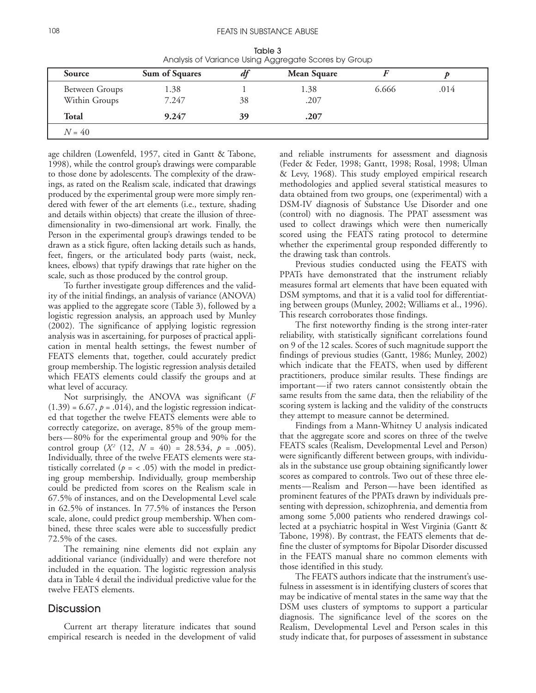| <b>Source</b>                          | Sum of Squares |    | <b>Mean Square</b> |       |      |
|----------------------------------------|----------------|----|--------------------|-------|------|
| <b>Between Groups</b><br>Within Groups | 1.38<br>7.247  | 38 | 1.38<br>.207       | 6.666 | .014 |
| Total                                  | 9.247          | 39 | .207               |       |      |
| $N = 40$                               |                |    |                    |       |      |

Table 3 Analysis of Variance Using Aggregate Scores by Group

age children (Lowenfeld, 1957, cited in Gantt & Tabone, 1998), while the control group's drawings were comparable to those done by adolescents. The complexity of the drawings, as rated on the Realism scale, indicated that drawings produced by the experimental group were more simply rendered with fewer of the art elements (i.e., texture, shading and details within objects) that create the illusion of threedimensionality in two-dimensional art work. Finally, the Person in the experimental group's drawings tended to be drawn as a stick figure, often lacking details such as hands, feet, fingers, or the articulated body parts (waist, neck, knees, elbows) that typify drawings that rate higher on the scale, such as those produced by the control group.

To further investigate group differences and the validity of the initial findings, an analysis of variance (ANOVA) was applied to the aggregate score (Table 3), followed by a logistic regression analysis, an approach used by Munley (2002). The significance of applying logistic regression analysis was in ascertaining, for purposes of practical application in mental health settings, the fewest number of FEATS elements that, together, could accurately predict group membership. The logistic regression analysis detailed which FEATS elements could classify the groups and at what level of accuracy.

Not surprisingly, the ANOVA was significant (*F*  $(1.39) = 6.67$ ,  $p = .014$ ), and the logistic regression indicated that together the twelve FEATS elements were able to correctly categorize, on average, 85% of the group members—80% for the experimental group and 90% for the control group  $(X^2 (12, N = 40) = 28.534, p = .005)$ . Individually, three of the twelve FEATS elements were statistically correlated ( $p = < .05$ ) with the model in predicting group membership. Individually, group membership could be predicted from scores on the Realism scale in 67.5% of instances, and on the Developmental Level scale in 62.5% of instances. In 77.5% of instances the Person scale, alone, could predict group membership. When combined, these three scales were able to successfully predict 72.5% of the cases.

The remaining nine elements did not explain any additional variance (individually) and were therefore not included in the equation. The logistic regression analysis data in Table 4 detail the individual predictive value for the twelve FEATS elements.

## **Discussion**

Current art therapy literature indicates that sound empirical research is needed in the development of valid and reliable instruments for assessment and diagnosis (Feder & Feder, 1998; Gantt, 1998; Rosal, 1998; Ulman & Levy, 1968). This study employed empirical research methodologies and applied several statistical measures to data obtained from two groups, one (experimental) with a DSM-IV diagnosis of Substance Use Disorder and one (control) with no diagnosis. The PPAT assessment was used to collect drawings which were then numerically scored using the FEATS rating protocol to determine whether the experimental group responded differently to the drawing task than controls.

Previous studies conducted using the FEATS with PPATs have demonstrated that the instrument reliably measures formal art elements that have been equated with DSM symptoms, and that it is a valid tool for differentiating between groups (Munley, 2002; Williams et al., 1996). This research corroborates those findings.

The first noteworthy finding is the strong inter-rater reliability, with statistically significant correlations found on 9 of the 12 scales. Scores of such magnitude support the findings of previous studies (Gantt, 1986; Munley, 2002) which indicate that the FEATS, when used by different practitioners, produce similar results. These findings are important—if two raters cannot consistently obtain the same results from the same data, then the reliability of the scoring system is lacking and the validity of the constructs they attempt to measure cannot be determined.

Findings from a Mann-Whitney U analysis indicated that the aggregate score and scores on three of the twelve FEATS scales (Realism, Developmental Level and Person) were significantly different between groups, with individuals in the substance use group obtaining significantly lower scores as compared to controls. Two out of these three elements—Realism and Person—have been identified as prominent features of the PPATs drawn by individuals presenting with depression, schizophrenia, and dementia from among some 5,000 patients who rendered drawings collected at a psychiatric hospital in West Virginia (Gantt & Tabone, 1998). By contrast, the FEATS elements that define the cluster of symptoms for Bipolar Disorder discussed in the FEATS manual share no common elements with those identified in this study.

The FEATS authors indicate that the instrument's usefulness in assessment is in identifying clusters of scores that may be indicative of mental states in the same way that the DSM uses clusters of symptoms to support a particular diagnosis. The significance level of the scores on the Realism, Developmental Level and Person scales in this study indicate that, for purposes of assessment in substance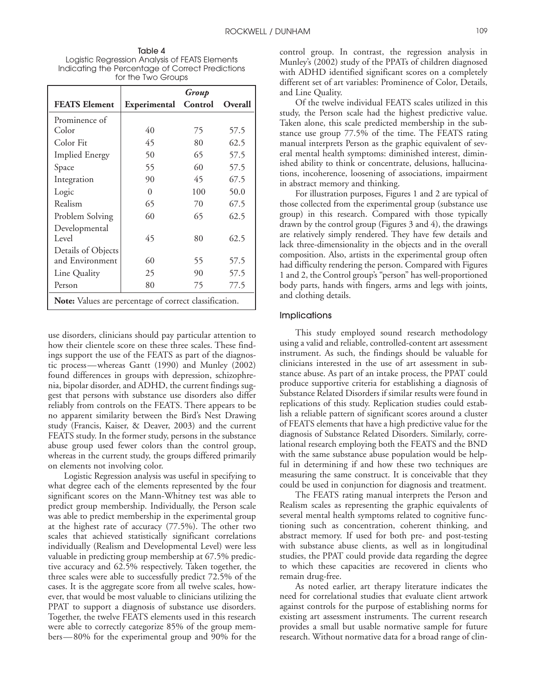| Table 4                                          |
|--------------------------------------------------|
| Logistic Regression Analysis of FEATS Elements   |
| Indicating the Percentage of Correct Predictions |
| for the Two Groups                               |
|                                                  |

|                                                               | Group        |         |         |  |
|---------------------------------------------------------------|--------------|---------|---------|--|
| <b>FEATS Element</b>                                          | Experimental | Control | Overall |  |
| Prominence of                                                 |              |         |         |  |
| Color                                                         | 40           | 75      | 57.5    |  |
| Color Fit                                                     | 45           | 80      | 62.5    |  |
| <b>Implied Energy</b>                                         | 50           | 65      | 57.5    |  |
| Space                                                         | 55           | 60      | 57.5    |  |
| Integration                                                   | 90           | 45      | 67.5    |  |
| Logic                                                         | $\Omega$     | 100     | 50.0    |  |
| Realism                                                       | 65           | 70      | 67.5    |  |
| Problem Solving                                               | 60           | 65      | 62.5    |  |
| Developmental                                                 |              |         |         |  |
| Level                                                         | 45           | 80      | 62.5    |  |
| Details of Objects                                            |              |         |         |  |
| and Environment                                               | 60           | 55      | 57.5    |  |
| Line Quality                                                  | 25           | 90      | 57.5    |  |
| Person                                                        | 80           | 75      | 77.5    |  |
| <b>Note:</b> Values are percentage of correct classification. |              |         |         |  |

use disorders, clinicians should pay particular attention to how their clientele score on these three scales. These findings support the use of the FEATS as part of the diagnostic process—whereas Gantt (1990) and Munley (2002) found differences in groups with depression, schizophrenia, bipolar disorder, and ADHD, the current findings suggest that persons with substance use disorders also differ reliably from controls on the FEATS. There appears to be no apparent similarity between the Bird's Nest Drawing study (Francis, Kaiser, & Deaver, 2003) and the current FEATS study. In the former study, persons in the substance abuse group used fewer colors than the control group, whereas in the current study, the groups differed primarily on elements not involving color.

Logistic Regression analysis was useful in specifying to what degree each of the elements represented by the four significant scores on the Mann-Whitney test was able to predict group membership. Individually, the Person scale was able to predict membership in the experimental group at the highest rate of accuracy (77.5%). The other two scales that achieved statistically significant correlations individually (Realism and Developmental Level) were less valuable in predicting group membership at 67.5% predictive accuracy and 62.5% respectively. Taken together, the three scales were able to successfully predict 72.5% of the cases. It is the aggregate score from all twelve scales, however, that would be most valuable to clinicians utilizing the PPAT to support a diagnosis of substance use disorders. Together, the twelve FEATS elements used in this research were able to correctly categorize 85% of the group members—80% for the experimental group and 90% for the

control group. In contrast, the regression analysis in Munley's (2002) study of the PPATs of children diagnosed with ADHD identified significant scores on a completely different set of art variables: Prominence of Color, Details, and Line Quality.

Of the twelve individual FEATS scales utilized in this study, the Person scale had the highest predictive value. Taken alone, this scale predicted membership in the substance use group 77.5% of the time. The FEATS rating manual interprets Person as the graphic equivalent of several mental health symptoms: diminished interest, diminished ability to think or concentrate, delusions, hallucinations, incoherence, loosening of associations, impairment in abstract memory and thinking.

For illustration purposes, Figures 1 and 2 are typical of those collected from the experimental group (substance use group) in this research. Compared with those typically drawn by the control group (Figures 3 and 4), the drawings are relatively simply rendered. They have few details and lack three-dimensionality in the objects and in the overall composition. Also, artists in the experimental group often had difficulty rendering the person. Compared with Figures 1 and 2, the Control group's "person" has well-proportioned body parts, hands with fingers, arms and legs with joints, and clothing details.

#### Implications

This study employed sound research methodology using a valid and reliable, controlled-content art assessment instrument. As such, the findings should be valuable for clinicians interested in the use of art assessment in substance abuse. As part of an intake process, the PPAT could produce supportive criteria for establishing a diagnosis of Substance Related Disorders if similar results were found in replications of this study. Replication studies could establish a reliable pattern of significant scores around a cluster of FEATS elements that have a high predictive value for the diagnosis of Substance Related Disorders. Similarly, correlational research employing both the FEATS and the BND with the same substance abuse population would be helpful in determining if and how these two techniques are measuring the same construct. It is conceivable that they could be used in conjunction for diagnosis and treatment.

The FEATS rating manual interprets the Person and Realism scales as representing the graphic equivalents of several mental health symptoms related to cognitive functioning such as concentration, coherent thinking, and abstract memory. If used for both pre- and post-testing with substance abuse clients, as well as in longitudinal studies, the PPAT could provide data regarding the degree to which these capacities are recovered in clients who remain drug-free.

As noted earlier, art therapy literature indicates the need for correlational studies that evaluate client artwork against controls for the purpose of establishing norms for existing art assessment instruments. The current research provides a small but usable normative sample for future research. Without normative data for a broad range of clin-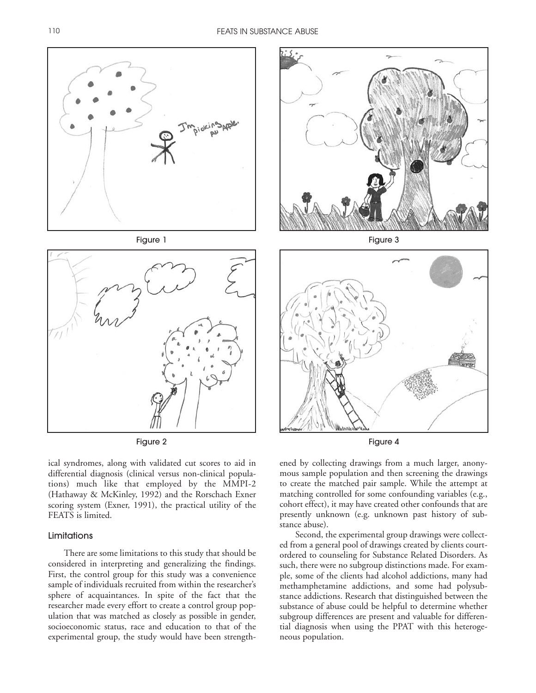

Figure 1





ical syndromes, along with validated cut scores to aid in differential diagnosis (clinical versus non-clinical populations) much like that employed by the MMPI-2 (Hathaway & McKinley, 1992) and the Rorschach Exner scoring system (Exner, 1991), the practical utility of the FEATS is limited.

#### Limitations

There are some limitations to this study that should be considered in interpreting and generalizing the findings. First, the control group for this study was a convenience sample of individuals recruited from within the researcher's sphere of acquaintances. In spite of the fact that the researcher made every effort to create a control group population that was matched as closely as possible in gender, socioeconomic status, race and education to that of the experimental group, the study would have been strength-



Figure 3



Figure 4

ened by collecting drawings from a much larger, anonymous sample population and then screening the drawings to create the matched pair sample. While the attempt at matching controlled for some confounding variables (e.g., cohort effect), it may have created other confounds that are presently unknown (e.g. unknown past history of substance abuse).

Second, the experimental group drawings were collected from a general pool of drawings created by clients courtordered to counseling for Substance Related Disorders. As such, there were no subgroup distinctions made. For example, some of the clients had alcohol addictions, many had methamphetamine addictions, and some had polysubstance addictions. Research that distinguished between the substance of abuse could be helpful to determine whether subgroup differences are present and valuable for differential diagnosis when using the PPAT with this heterogeneous population.